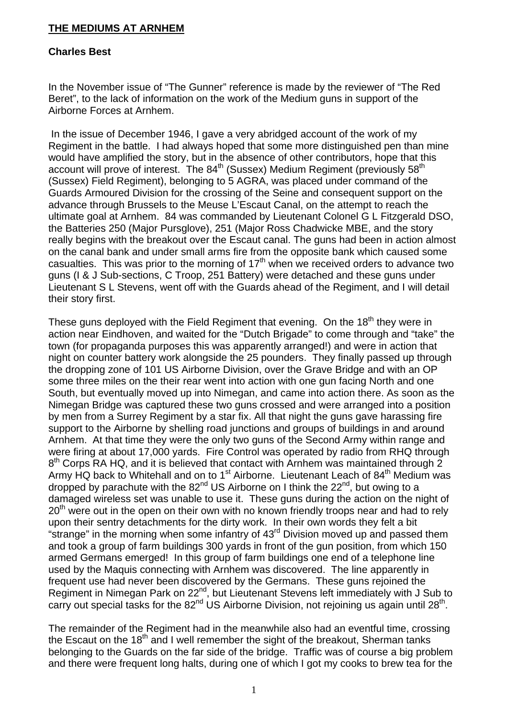## **THE MEDIUMS AT ARNHEM**

## **Charles Best**

In the November issue of "The Gunner" reference is made by the reviewer of "The Red Beret", to the lack of information on the work of the Medium guns in support of the Airborne Forces at Arnhem.

 In the issue of December 1946, I gave a very abridged account of the work of my Regiment in the battle. I had always hoped that some more distinguished pen than mine would have amplified the story, but in the absence of other contributors, hope that this account will prove of interest. The  $84<sup>th</sup>$  (Sussex) Medium Regiment (previously  $58<sup>th</sup>$ (Sussex) Field Regiment), belonging to 5 AGRA, was placed under command of the Guards Armoured Division for the crossing of the Seine and consequent support on the advance through Brussels to the Meuse L'Escaut Canal, on the attempt to reach the ultimate goal at Arnhem. 84 was commanded by Lieutenant Colonel G L Fitzgerald DSO, the Batteries 250 (Major Pursglove), 251 (Major Ross Chadwicke MBE, and the story really begins with the breakout over the Escaut canal. The guns had been in action almost on the canal bank and under small arms fire from the opposite bank which caused some casualties. This was prior to the morning of  $17<sup>th</sup>$  when we received orders to advance two guns (I & J Sub-sections, C Troop, 251 Battery) were detached and these guns under Lieutenant S L Stevens, went off with the Guards ahead of the Regiment, and I will detail their story first.

These guns deployed with the Field Regiment that evening. On the 18<sup>th</sup> they were in action near Eindhoven, and waited for the "Dutch Brigade" to come through and "take" the town (for propaganda purposes this was apparently arranged!) and were in action that night on counter battery work alongside the 25 pounders. They finally passed up through the dropping zone of 101 US Airborne Division, over the Grave Bridge and with an OP some three miles on the their rear went into action with one gun facing North and one South, but eventually moved up into Nimegan, and came into action there. As soon as the Nimegan Bridge was captured these two guns crossed and were arranged into a position by men from a Surrey Regiment by a star fix. All that night the guns gave harassing fire support to the Airborne by shelling road junctions and groups of buildings in and around Arnhem. At that time they were the only two guns of the Second Army within range and were firing at about 17,000 yards. Fire Control was operated by radio from RHQ through 8<sup>th</sup> Corps RA HQ, and it is believed that contact with Arnhem was maintained through 2 Army HQ back to Whitehall and on to 1<sup>st</sup> Airborne. Lieutenant Leach of 84<sup>th</sup> Medium was dropped by parachute with the 82<sup>nd</sup> US Airborne on I think the 22<sup>nd</sup>, but owing to a damaged wireless set was unable to use it. These guns during the action on the night of  $20<sup>th</sup>$  were out in the open on their own with no known friendly troops near and had to rely upon their sentry detachments for the dirty work. In their own words they felt a bit "strange" in the morning when some infantry of  $43<sup>rd</sup>$  Division moved up and passed them and took a group of farm buildings 300 yards in front of the gun position, from which 150 armed Germans emerged! In this group of farm buildings one end of a telephone line used by the Maquis connecting with Arnhem was discovered. The line apparently in frequent use had never been discovered by the Germans. These guns rejoined the Regiment in Nimegan Park on 22<sup>nd</sup>, but Lieutenant Stevens left immediately with J Sub to carry out special tasks for the  $82<sup>nd</sup>$  US Airborne Division, not rejoining us again until  $28<sup>th</sup>$ .

The remainder of the Regiment had in the meanwhile also had an eventful time, crossing the Escaut on the  $18<sup>th</sup>$  and I well remember the sight of the breakout, Sherman tanks belonging to the Guards on the far side of the bridge. Traffic was of course a big problem and there were frequent long halts, during one of which I got my cooks to brew tea for the